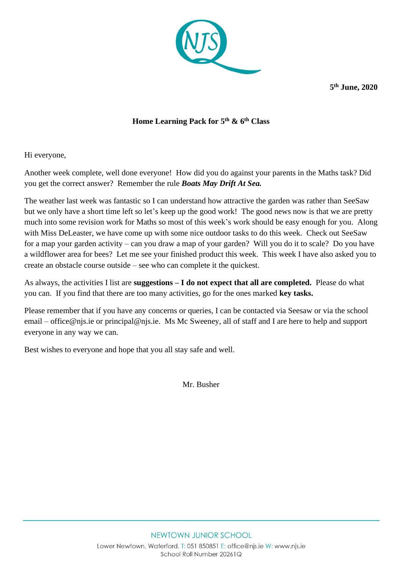

**5 th June, 2020**

## **Home Learning Pack for 5 th & 6th Class**

Hi everyone,

Another week complete, well done everyone! How did you do against your parents in the Maths task? Did you get the correct answer? Remember the rule *Boats May Drift At Sea.*

The weather last week was fantastic so I can understand how attractive the garden was rather than SeeSaw but we only have a short time left so let's keep up the good work! The good news now is that we are pretty much into some revision work for Maths so most of this week's work should be easy enough for you. Along with Miss DeLeaster, we have come up with some nice outdoor tasks to do this week. Check out SeeSaw for a map your garden activity – can you draw a map of your garden? Will you do it to scale? Do you have a wildflower area for bees? Let me see your finished product this week. This week I have also asked you to create an obstacle course outside – see who can complete it the quickest.

As always, the activities I list are **suggestions – I do not expect that all are completed.** Please do what you can. If you find that there are too many activities, go for the ones marked **key tasks.** 

Please remember that if you have any concerns or queries, I can be contacted via Seesaw or via the school email – [office@njs.ie](mailto:office@njs.ie) or [principal@njs.ie.](mailto:principal@njs.ie) Ms Mc Sweeney, all of staff and I are here to help and support everyone in any way we can.

Best wishes to everyone and hope that you all stay safe and well.

Mr. Busher